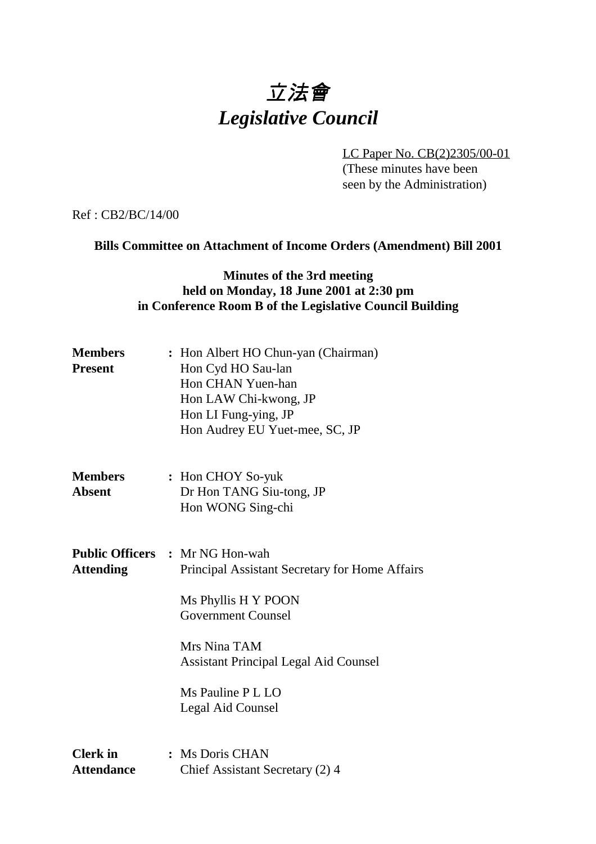# 立法會 *Legislative Council*

LC Paper No. CB(2)2305/00-01

(These minutes have been seen by the Administration)

Ref : CB2/BC/14/00

#### **Bills Committee on Attachment of Income Orders (Amendment) Bill 2001**

#### **Minutes of the 3rd meeting held on Monday, 18 June 2001 at 2:30 pm in Conference Room B of the Legislative Council Building**

| <b>Members</b><br><b>Present</b>           | : Hon Albert HO Chun-yan (Chairman)<br>Hon Cyd HO Sau-lan<br>Hon CHAN Yuen-han<br>Hon LAW Chi-kwong, JP<br>Hon LI Fung-ying, JP<br>Hon Audrey EU Yuet-mee, SC, JP                                                               |
|--------------------------------------------|---------------------------------------------------------------------------------------------------------------------------------------------------------------------------------------------------------------------------------|
| <b>Members</b><br><b>Absent</b>            | : Hon CHOY So-yuk<br>Dr Hon TANG Siu-tong, JP<br>Hon WONG Sing-chi                                                                                                                                                              |
| <b>Public Officers</b><br><b>Attending</b> | : Mr NG Hon-wah<br>Principal Assistant Secretary for Home Affairs<br>Ms Phyllis H Y POON<br><b>Government Counsel</b><br>Mrs Nina TAM<br><b>Assistant Principal Legal Aid Counsel</b><br>Ms Pauline P L LO<br>Legal Aid Counsel |
| <b>Clerk</b> in<br><b>Attendance</b>       | : Ms Doris CHAN<br>Chief Assistant Secretary (2) 4                                                                                                                                                                              |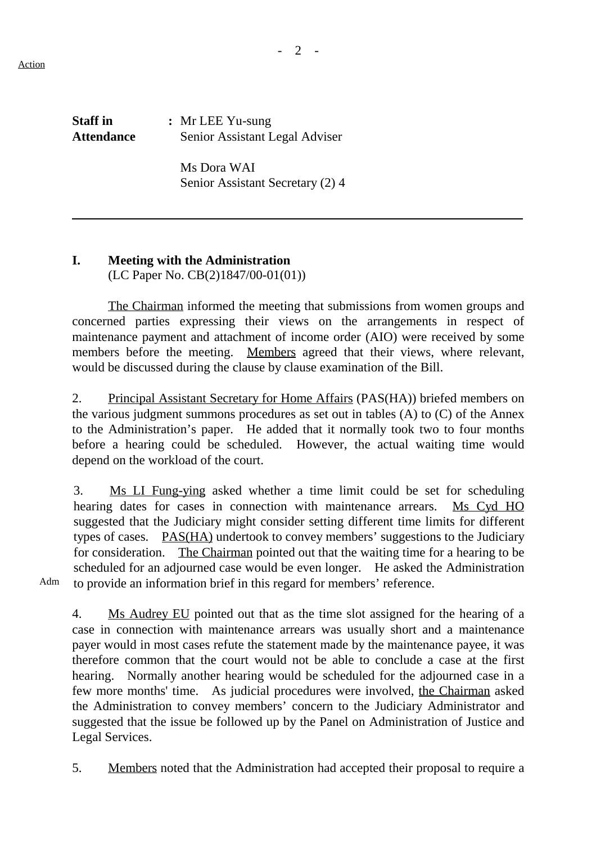Action

 $\overline{a}$ 

 $- 2 -$ 

| <b>Staff</b> in   | $\therefore$ Mr LEE Yu-sung    |
|-------------------|--------------------------------|
| <b>Attendance</b> | Senior Assistant Legal Adviser |

Ms Dora WAI Senior Assistant Secretary (2) 4

## **I. Meeting with the Administration**

(LC Paper No. CB(2)1847/00-01(01))

The Chairman informed the meeting that submissions from women groups and concerned parties expressing their views on the arrangements in respect of maintenance payment and attachment of income order (AIO) were received by some members before the meeting. Members agreed that their views, where relevant, would be discussed during the clause by clause examination of the Bill.

2. Principal Assistant Secretary for Home Affairs (PAS(HA)) briefed members on the various judgment summons procedures as set out in tables (A) to (C) of the Annex to the Administration's paper. He added that it normally took two to four months before a hearing could be scheduled. However, the actual waiting time would depend on the workload of the court.

3. Ms LI Fung-ying asked whether a time limit could be set for scheduling hearing dates for cases in connection with maintenance arrears. Ms Cyd HO suggested that the Judiciary might consider setting different time limits for different types of cases. **PAS(HA)** undertook to convey members' suggestions to the Judiciary for consideration. The Chairman pointed out that the waiting time for a hearing to be scheduled for an adjourned case would be even longer. He asked the Administration to provide an information brief in this regard for members' reference.

Adm

4. Ms Audrey EU pointed out that as the time slot assigned for the hearing of a case in connection with maintenance arrears was usually short and a maintenance payer would in most cases refute the statement made by the maintenance payee, it was therefore common that the court would not be able to conclude a case at the first hearing. Normally another hearing would be scheduled for the adjourned case in a few more months' time. As judicial procedures were involved, the Chairman asked the Administration to convey members' concern to the Judiciary Administrator and suggested that the issue be followed up by the Panel on Administration of Justice and Legal Services.

5. Members noted that the Administration had accepted their proposal to require a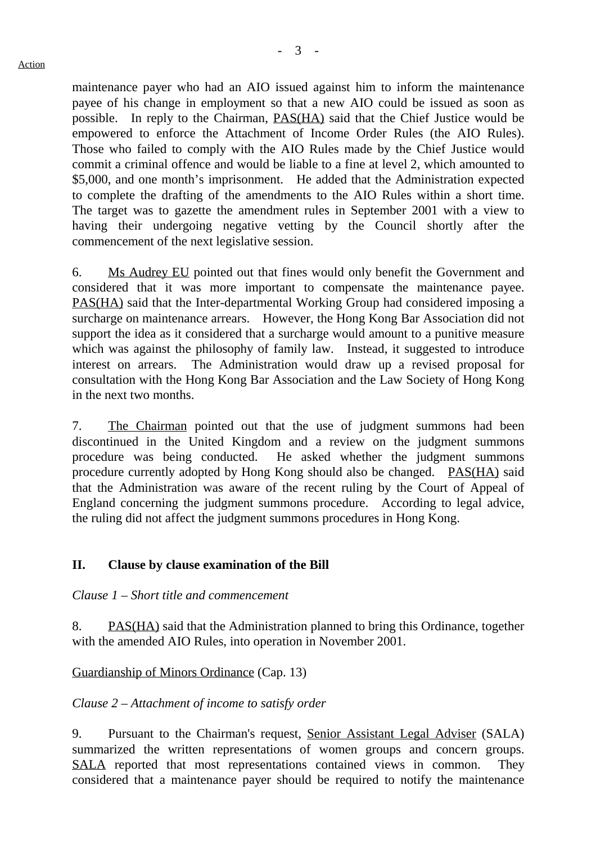maintenance payer who had an AIO issued against him to inform the maintenance payee of his change in employment so that a new AIO could be issued as soon as possible. In reply to the Chairman, PAS(HA) said that the Chief Justice would be empowered to enforce the Attachment of Income Order Rules (the AIO Rules). Those who failed to comply with the AIO Rules made by the Chief Justice would commit a criminal offence and would be liable to a fine at level 2, which amounted to \$5,000, and one month's imprisonment. He added that the Administration expected to complete the drafting of the amendments to the AIO Rules within a short time. The target was to gazette the amendment rules in September 2001 with a view to having their undergoing negative vetting by the Council shortly after the commencement of the next legislative session.

6. Ms Audrey EU pointed out that fines would only benefit the Government and considered that it was more important to compensate the maintenance payee. PAS(HA) said that the Inter-departmental Working Group had considered imposing a surcharge on maintenance arrears. However, the Hong Kong Bar Association did not support the idea as it considered that a surcharge would amount to a punitive measure which was against the philosophy of family law. Instead, it suggested to introduce interest on arrears. The Administration would draw up a revised proposal for consultation with the Hong Kong Bar Association and the Law Society of Hong Kong in the next two months.

7. The Chairman pointed out that the use of judgment summons had been discontinued in the United Kingdom and a review on the judgment summons procedure was being conducted. He asked whether the judgment summons procedure currently adopted by Hong Kong should also be changed. PAS(HA) said that the Administration was aware of the recent ruling by the Court of Appeal of England concerning the judgment summons procedure. According to legal advice, the ruling did not affect the judgment summons procedures in Hong Kong.

## **II. Clause by clause examination of the Bill**

*Clause 1 – Short title and commencement*

8. PAS(HA) said that the Administration planned to bring this Ordinance, together with the amended AIO Rules, into operation in November 2001.

#### Guardianship of Minors Ordinance (Cap. 13)

#### *Clause 2 – Attachment of income to satisfy order*

9. Pursuant to the Chairman's request, Senior Assistant Legal Adviser (SALA) summarized the written representations of women groups and concern groups. SALA reported that most representations contained views in common. They considered that a maintenance payer should be required to notify the maintenance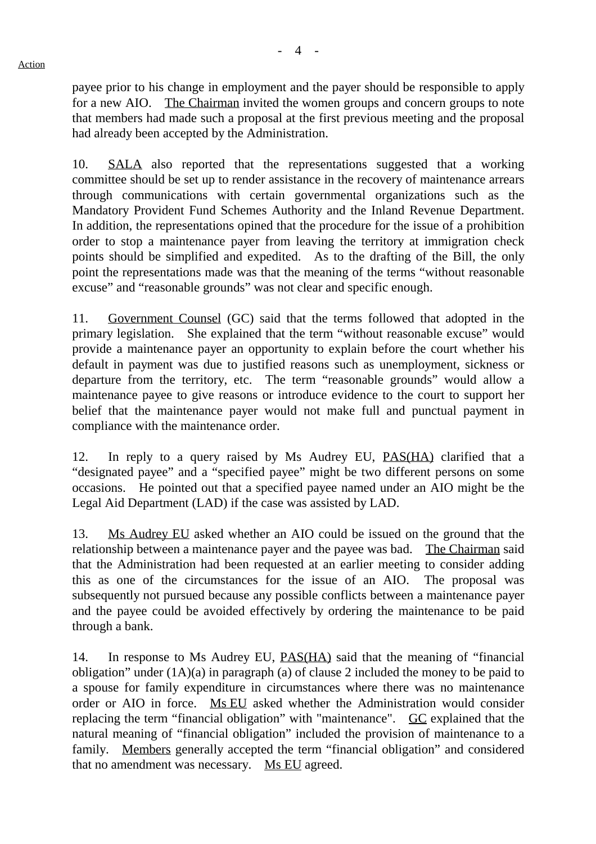payee prior to his change in employment and the payer should be responsible to apply for a new AIO. The Chairman invited the women groups and concern groups to note that members had made such a proposal at the first previous meeting and the proposal had already been accepted by the Administration.

10. SALA also reported that the representations suggested that a working committee should be set up to render assistance in the recovery of maintenance arrears through communications with certain governmental organizations such as the Mandatory Provident Fund Schemes Authority and the Inland Revenue Department. In addition, the representations opined that the procedure for the issue of a prohibition order to stop a maintenance payer from leaving the territory at immigration check points should be simplified and expedited. As to the drafting of the Bill, the only point the representations made was that the meaning of the terms "without reasonable excuse" and "reasonable grounds" was not clear and specific enough.

11. Government Counsel (GC) said that the terms followed that adopted in the primary legislation. She explained that the term "without reasonable excuse" would provide a maintenance payer an opportunity to explain before the court whether his default in payment was due to justified reasons such as unemployment, sickness or departure from the territory, etc. The term "reasonable grounds" would allow a maintenance payee to give reasons or introduce evidence to the court to support her belief that the maintenance payer would not make full and punctual payment in compliance with the maintenance order.

12. In reply to a query raised by Ms Audrey EU, PAS(HA) clarified that a "designated payee" and a "specified payee" might be two different persons on some occasions. He pointed out that a specified payee named under an AIO might be the Legal Aid Department (LAD) if the case was assisted by LAD.

13. Ms Audrey EU asked whether an AIO could be issued on the ground that the relationship between a maintenance payer and the payee was bad. The Chairman said that the Administration had been requested at an earlier meeting to consider adding this as one of the circumstances for the issue of an AIO. The proposal was subsequently not pursued because any possible conflicts between a maintenance payer and the payee could be avoided effectively by ordering the maintenance to be paid through a bank.

14. In response to Ms Audrey EU, PAS(HA) said that the meaning of "financial obligation" under (1A)(a) in paragraph (a) of clause 2 included the money to be paid to a spouse for family expenditure in circumstances where there was no maintenance order or AIO in force. Ms EU asked whether the Administration would consider replacing the term "financial obligation" with "maintenance". GC explained that the natural meaning of "financial obligation" included the provision of maintenance to a family. Members generally accepted the term "financial obligation" and considered that no amendment was necessary. Ms EU agreed.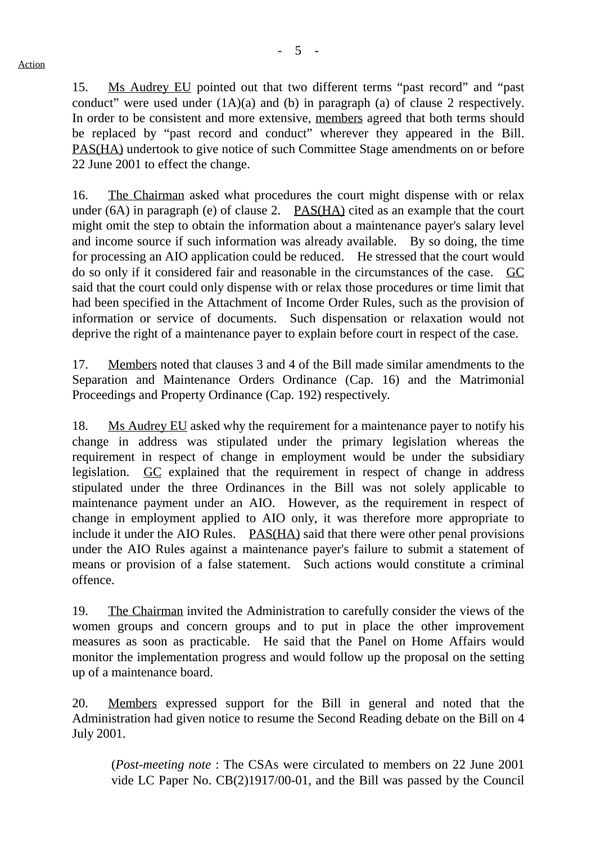15. Ms Audrey EU pointed out that two different terms "past record" and "past conduct" were used under (1A)(a) and (b) in paragraph (a) of clause 2 respectively. In order to be consistent and more extensive, members agreed that both terms should be replaced by "past record and conduct" wherever they appeared in the Bill. PAS(HA) undertook to give notice of such Committee Stage amendments on or before 22 June 2001 to effect the change.

16. The Chairman asked what procedures the court might dispense with or relax under (6A) in paragraph (e) of clause 2. PAS(HA) cited as an example that the court might omit the step to obtain the information about a maintenance payer's salary level and income source if such information was already available. By so doing, the time for processing an AIO application could be reduced. He stressed that the court would do so only if it considered fair and reasonable in the circumstances of the case. GC said that the court could only dispense with or relax those procedures or time limit that had been specified in the Attachment of Income Order Rules, such as the provision of information or service of documents. Such dispensation or relaxation would not deprive the right of a maintenance payer to explain before court in respect of the case.

17. Members noted that clauses 3 and 4 of the Bill made similar amendments to the Separation and Maintenance Orders Ordinance (Cap. 16) and the Matrimonial Proceedings and Property Ordinance (Cap. 192) respectively.

18. Ms Audrey EU asked why the requirement for a maintenance payer to notify his change in address was stipulated under the primary legislation whereas the requirement in respect of change in employment would be under the subsidiary legislation. GC explained that the requirement in respect of change in address stipulated under the three Ordinances in the Bill was not solely applicable to maintenance payment under an AIO. However, as the requirement in respect of change in employment applied to AIO only, it was therefore more appropriate to include it under the AIO Rules. PAS(HA) said that there were other penal provisions under the AIO Rules against a maintenance payer's failure to submit a statement of means or provision of a false statement. Such actions would constitute a criminal offence.

19. The Chairman invited the Administration to carefully consider the views of the women groups and concern groups and to put in place the other improvement measures as soon as practicable. He said that the Panel on Home Affairs would monitor the implementation progress and would follow up the proposal on the setting up of a maintenance board.

20. Members expressed support for the Bill in general and noted that the Administration had given notice to resume the Second Reading debate on the Bill on 4 July 2001.

(*Post-meeting note* : The CSAs were circulated to members on 22 June 2001 vide LC Paper No. CB(2)1917/00-01, and the Bill was passed by the Council